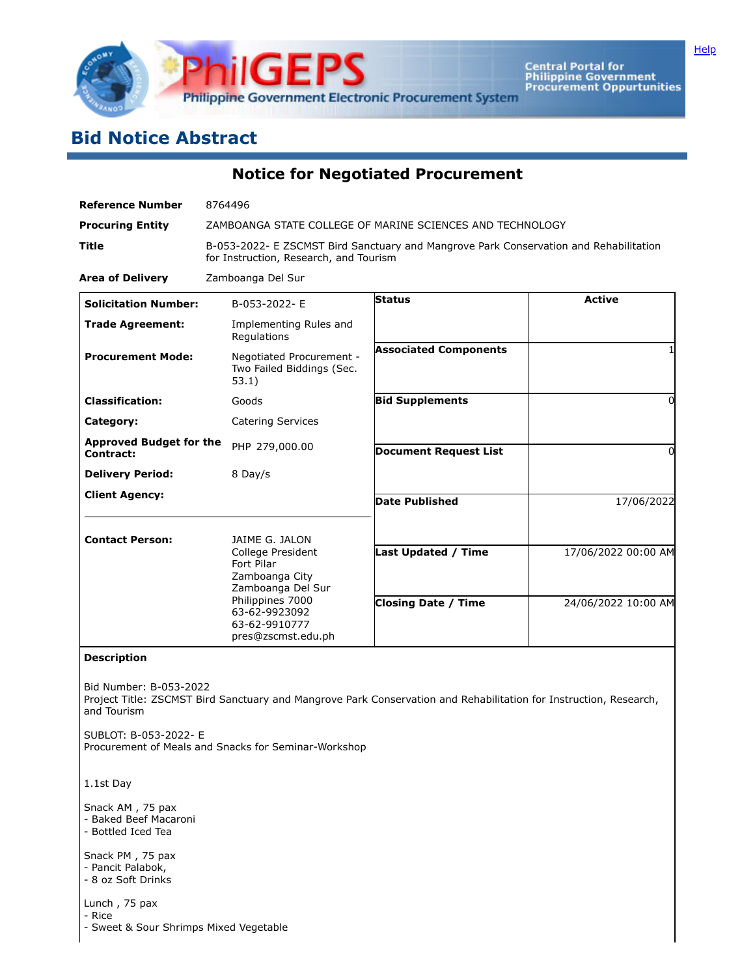

Central Portal for<br>Philippine Government<br>Procurement Oppurtunities

## **Bid Notice Abstract**

**Notice for Negotiated Procurement**

| <b>Reference Number</b>                                                              | 8764496                                                                                                                                                              |                                                          |                                            |  |  |  |
|--------------------------------------------------------------------------------------|----------------------------------------------------------------------------------------------------------------------------------------------------------------------|----------------------------------------------------------|--------------------------------------------|--|--|--|
| <b>Procuring Entity</b>                                                              | ZAMBOANGA STATE COLLEGE OF MARINE SCIENCES AND TECHNOLOGY                                                                                                            |                                                          |                                            |  |  |  |
| <b>Title</b>                                                                         | B-053-2022- E ZSCMST Bird Sanctuary and Mangrove Park Conservation and Rehabilitation<br>for Instruction, Research, and Tourism                                      |                                                          |                                            |  |  |  |
| <b>Area of Delivery</b>                                                              | Zamboanga Del Sur                                                                                                                                                    |                                                          |                                            |  |  |  |
| <b>Solicitation Number:</b>                                                          | B-053-2022-E                                                                                                                                                         | <b>Status</b>                                            | <b>Active</b>                              |  |  |  |
| <b>Trade Agreement:</b>                                                              | Implementing Rules and<br>Regulations                                                                                                                                |                                                          |                                            |  |  |  |
| <b>Procurement Mode:</b>                                                             | Negotiated Procurement -<br>Two Failed Biddings (Sec.<br>53.1)                                                                                                       | <b>Associated Components</b>                             |                                            |  |  |  |
| <b>Classification:</b>                                                               | Goods                                                                                                                                                                | <b>Bid Supplements</b>                                   | $\Omega$                                   |  |  |  |
| Category:                                                                            | <b>Catering Services</b>                                                                                                                                             |                                                          |                                            |  |  |  |
| <b>Approved Budget for the</b><br>Contract:                                          | PHP 279,000.00                                                                                                                                                       | <b>Document Request List</b>                             | $\Omega$                                   |  |  |  |
| <b>Delivery Period:</b>                                                              | 8 Day/s                                                                                                                                                              |                                                          |                                            |  |  |  |
| <b>Client Agency:</b>                                                                |                                                                                                                                                                      | <b>Date Published</b>                                    | 17/06/2022                                 |  |  |  |
| <b>Contact Person:</b>                                                               | JAIME G. JALON<br>College President<br>Fort Pilar<br>Zamboanga City<br>Zamboanga Del Sur<br>Philippines 7000<br>63-62-9923092<br>63-62-9910777<br>pres@zscmst.edu.ph | <b>Last Updated / Time</b><br><b>Closing Date / Time</b> | 17/06/2022 00:00 AM<br>24/06/2022 10:00 AM |  |  |  |
| <b>Description</b><br>Bid Number: B-053-2022<br>and Tourism<br>SUBLOT: B-053-2022- E | Project Title: ZSCMST Bird Sanctuary and Mangrove Park Conservation and Rehabilitation for Instruction, Research,                                                    |                                                          |                                            |  |  |  |
| Procurement of Meals and Snacks for Seminar-Workshop                                 |                                                                                                                                                                      |                                                          |                                            |  |  |  |
| 1.1st Day                                                                            |                                                                                                                                                                      |                                                          |                                            |  |  |  |
| Snack AM, 75 pax<br>- Baked Beef Macaroni<br>- Bottled Iced Tea<br>Snack PM, 75 pax  |                                                                                                                                                                      |                                                          |                                            |  |  |  |
| - Pancit Palabok,<br>- 8 oz Soft Drinks                                              |                                                                                                                                                                      |                                                          |                                            |  |  |  |
| Lunch, 75 pax<br>- Rice<br>- Sweet & Sour Shrimps Mixed Vegetable                    |                                                                                                                                                                      |                                                          |                                            |  |  |  |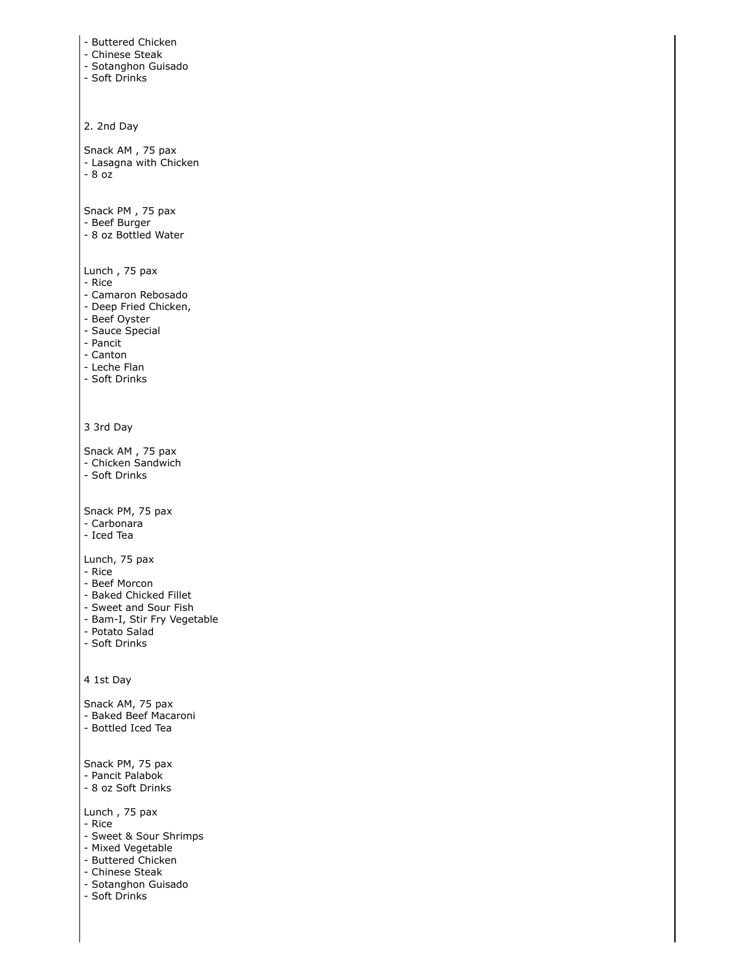```
- Buttered Chicken
- Chinese Steak
- Sotanghon Guisado
- Soft Drinks
2. 2nd Day
Snack AM , 75 pax
- Lasagna with Chicken
- 8 oz
Snack PM , 75 pax
- Beef Burger
- 8 oz Bottled Water
Lunch , 75 pax
- Rice
- Camaron Rebosado
- Deep Fried Chicken,
- Beef Oyster
- Sauce Special
- Pancit
- Canton
- Leche Flan
- Soft Drinks
3 3rd Day
Snack AM , 75 pax
- Chicken Sandwich
- Soft Drinks
Snack PM, 75 pax
- Carbonara
- Iced Tea
Lunch, 75 pax
- Rice
- Beef Morcon
- Baked Chicked Fillet
- Sweet and Sour Fish
- Bam-I, Stir Fry Vegetable
- Potato Salad
- Soft Drinks
4 1st Day
Snack AM, 75 pax
- Baked Beef Macaroni
- Bottled Iced Tea
Snack PM, 75 pax
- Pancit Palabok
- 8 oz Soft Drinks
Lunch , 75 pax
- Rice
- Sweet & Sour Shrimps
- Mixed Vegetable
- Buttered Chicken
- Chinese Steak
- Sotanghon Guisado
- Soft Drinks
```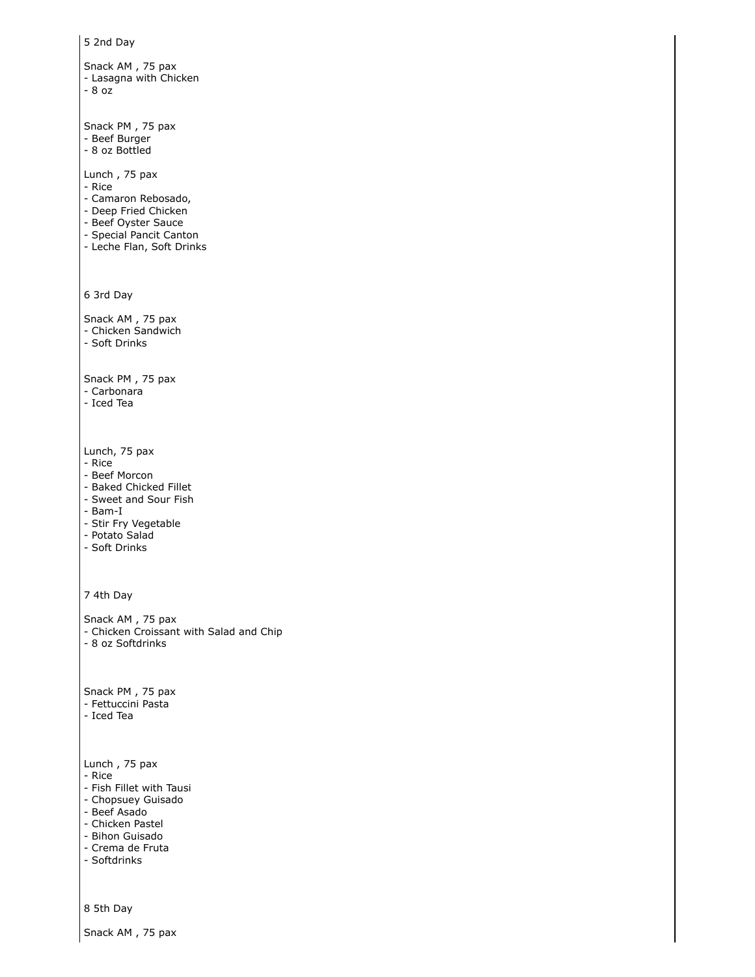```
5 2nd Day
Snack AM , 75 pax
- Lasagna with Chicken
- 8 oz
Snack PM , 75 pax
- Beef Burger
- 8 oz Bottled
Lunch , 75 pax
- Rice
- Camaron Rebosado,
- Deep Fried Chicken
- Beef Oyster Sauce
- Special Pancit Canton
- Leche Flan, Soft Drinks
6 3rd Day
Snack AM , 75 pax
- Chicken Sandwich
- Soft Drinks
Snack PM , 75 pax
- Carbonara
- Iced Tea
Lunch, 75 pax
- Rice
- Beef Morcon
- Baked Chicked Fillet
- Sweet and Sour Fish
- Bam-I
- Stir Fry Vegetable
- Potato Salad
- Soft Drinks
7 4th Day
Snack AM , 75 pax
- Chicken Croissant with Salad and Chip
- 8 oz Softdrinks
Snack PM , 75 pax
- Fettuccini Pasta
- Iced Tea
Lunch , 75 pax
- Rice
- Fish Fillet with Tausi
- Chopsuey Guisado
- Beef Asado
- Chicken Pastel
- Bihon Guisado
- Crema de Fruta
- Softdrinks
8 5th Day
```
Snack AM , 75 pax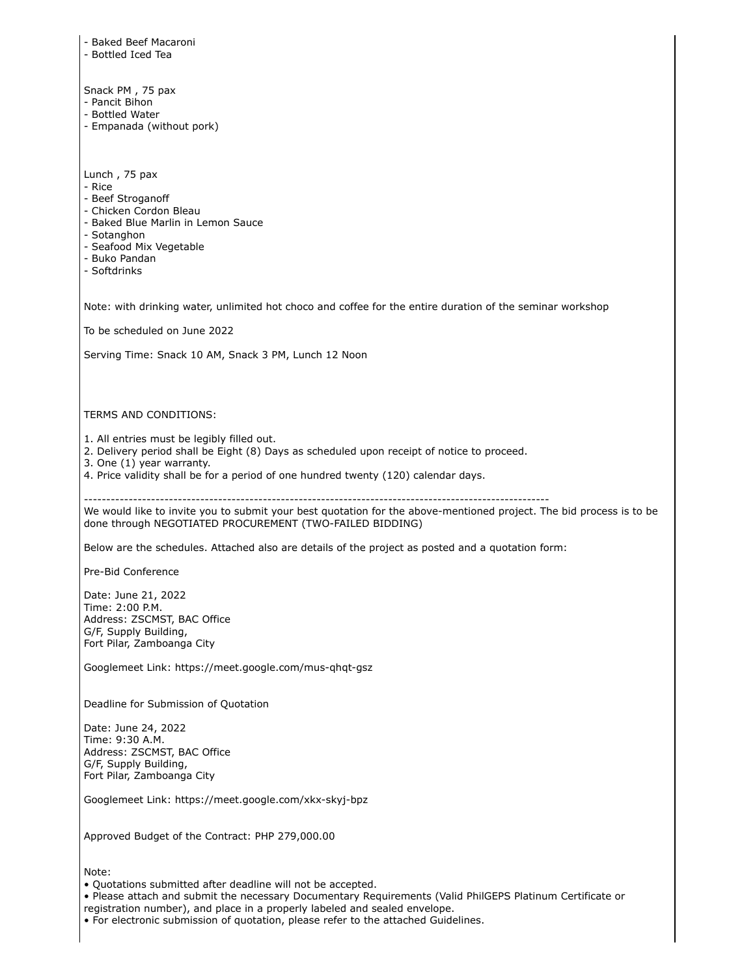| - Baked Beef Macaroni<br>- Bottled Iced Tea                                                                                                                                                                                                                                                                                                           |
|-------------------------------------------------------------------------------------------------------------------------------------------------------------------------------------------------------------------------------------------------------------------------------------------------------------------------------------------------------|
| Snack PM, 75 pax<br>- Pancit Bihon<br>- Bottled Water<br>- Empanada (without pork)                                                                                                                                                                                                                                                                    |
| Lunch, 75 pax<br>- Rice<br>- Beef Stroganoff<br>- Chicken Cordon Bleau<br>- Baked Blue Marlin in Lemon Sauce<br>- Sotanghon<br>- Seafood Mix Vegetable<br>- Buko Pandan<br>- Softdrinks                                                                                                                                                               |
| Note: with drinking water, unlimited hot choco and coffee for the entire duration of the seminar workshop<br>To be scheduled on June 2022                                                                                                                                                                                                             |
| Serving Time: Snack 10 AM, Snack 3 PM, Lunch 12 Noon                                                                                                                                                                                                                                                                                                  |
|                                                                                                                                                                                                                                                                                                                                                       |
| TERMS AND CONDITIONS:                                                                                                                                                                                                                                                                                                                                 |
| 1. All entries must be legibly filled out.<br>2. Delivery period shall be Eight (8) Days as scheduled upon receipt of notice to proceed.<br>3. One (1) year warranty.<br>4. Price validity shall be for a period of one hundred twenty (120) calendar days.                                                                                           |
| We would like to invite you to submit your best quotation for the above-mentioned project. The bid process is to be<br>done through NEGOTIATED PROCUREMENT (TWO-FAILED BIDDING)                                                                                                                                                                       |
| Below are the schedules. Attached also are details of the project as posted and a quotation form:                                                                                                                                                                                                                                                     |
| Pre-Bid Conference                                                                                                                                                                                                                                                                                                                                    |
| Date: June 21, 2022<br>Time: 2:00 P.M.<br>Address: ZSCMST, BAC Office<br>G/F, Supply Building,<br>Fort Pilar, Zamboanga City                                                                                                                                                                                                                          |
| Googlemeet Link: https://meet.google.com/mus-qhqt-gsz                                                                                                                                                                                                                                                                                                 |
| Deadline for Submission of Quotation                                                                                                                                                                                                                                                                                                                  |
| Date: June 24, 2022<br>Time: 9:30 A.M.<br>Address: ZSCMST, BAC Office<br>G/F, Supply Building,<br>Fort Pilar, Zamboanga City                                                                                                                                                                                                                          |
| Googlemeet Link: https://meet.google.com/xkx-skyj-bpz                                                                                                                                                                                                                                                                                                 |
| Approved Budget of the Contract: PHP 279,000.00                                                                                                                                                                                                                                                                                                       |
| Note:<br>. Quotations submitted after deadline will not be accepted.<br>• Please attach and submit the necessary Documentary Requirements (Valid PhilGEPS Platinum Certificate or<br>registration number), and place in a properly labeled and sealed envelope.<br>• For electronic submission of quotation, please refer to the attached Guidelines. |